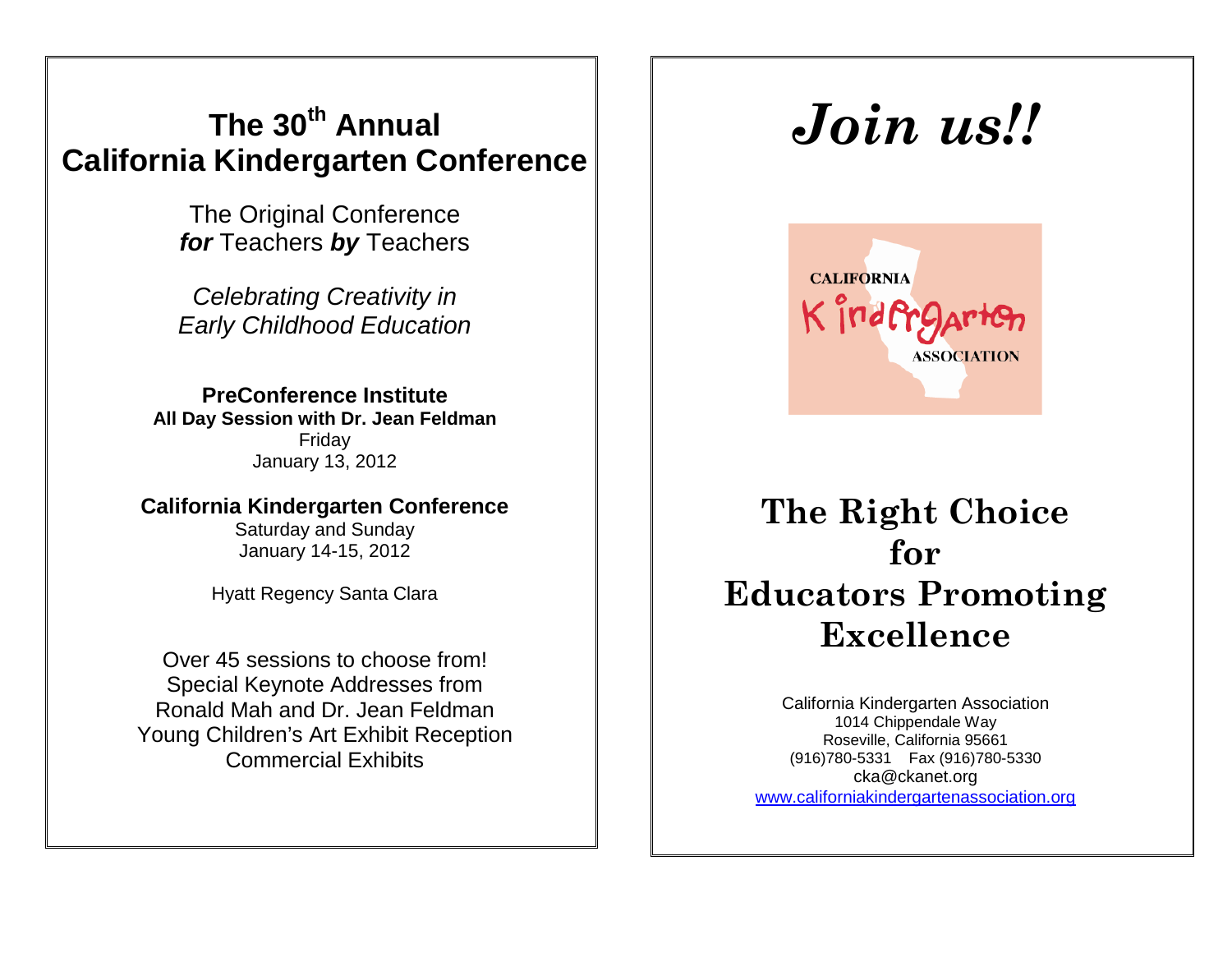# **The 30th Annual California Kindergarten Conference**

The Original Conference *for* Teachers *by* Teachers

*Celebrating Creativity in Early Childhood Education*

**PreConference Institute All Day Session with Dr. Jean Feldman** Friday January 13, 2012

**California Kindergarten Conference**

Saturday and Sunday January 14-15, 2012

Hyatt Regency Santa Clara

Over 45 sessions to choose from! Special Keynote Addresses from Ronald Mah and Dr. Jean Feldman Young Children's Art Exhibit Reception Commercial Exhibits

# *Join us!!*



**The Right Choice for Educators Promoting Excellence**

California Kindergarten Association 1014 Chippendale Way Roseville, California 95661 (916)780-5331 Fax (916)780-5330 [cka@ckanet.org](mailto:cka@ckanet.org) [www.californiakindergartenassociation.org](http://www.californiakindergartenassociation.org/)